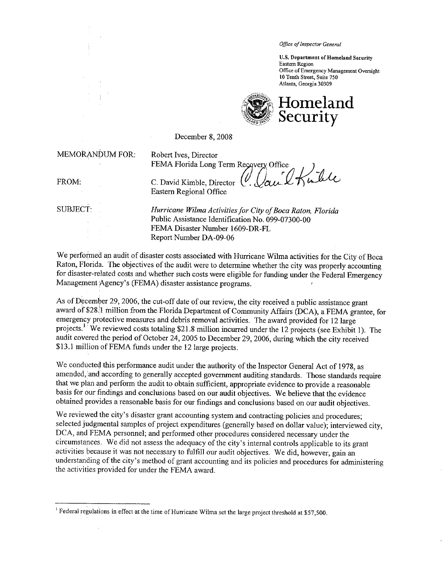Office of Inspector General

U.S. Department of Homeland Security Eastern Region Office of Emergency Management Oversight \0 Tenth Street, Suite 750 Atlanta, Georgia 30309



December 8, 2008

MEMORANDUM FOR: Robert Ives, Director

FEMA Florida Long Term Recovery Office<br>C. David Kimble, Director  $\bigcup_{\alpha,\alpha}$ 

FROM: C. David Kimble, Director Eastern Regional Office

SUBJECT: Hurricane Wilma Activities for City of Boca Raton, Florida Public Assistance Identification No. 099-07300-00 FEMA Disaster Number 1609-DR-FL Report Number DA-09-06

We performed an audit of disaster costs associated with Hurricane Wilma activities for the City of Boca Raton, Florida. The objectives of the audit were to determine whether the city was properly accounting for disaster-related costs and whether such costs were eligible for fuding under the Federal Emergency Management Agency's (FEMA) disaster assistance programs.

As of December 29, 2006, the cut-off date of our review, the city received a public assistance grant award of \$28.1 million from the Florida Department of Community Affairs (DCA), a FEMA grantee, for emergency protective measures and debris removal activities. The award provided for 12 large projects.<sup>1</sup> We reviewed costs totaling \$21.8 million incurred under the 12 projects (see Exhibit 1). The audit covered the period of October 24, 2005 to December 29,2006, during which the city received \$13.1 million of FEMA funds under the 12 large projects.

We conducted this performance audit under the authority of the Inspector General Act of 1978, as amended, and according to generally accepted government auditing standards. Those standards require that we plan and perform the audit to obtain sufficient, appropriate evidence to provide a reasonable basis for our findings and conclusions based on our audit objectives. We believe that the evidence obtained provides a reasonable basis for our findings and conclusions based on our audit objectives.

We reviewed the city's disaster grant accounting system and contracting policies and procedures; selected judgmental samples of project expenditures (generally based on dollar value); interviewed city, DCA, and FEMA personnel; and performed other procedures considered necessary under the circumstances. We did not assess the adequacy of the city's internal controls applicable to its grant activities because it was not necessary to fuItìII our audit objectives. We did, however, gain an understanding of the city's method of grant accounting and its policies and procedures for administering the activities provided for under the FEMA award.

Federal regulations in effect at the time of Hurricane Wilma set the large project threshold at \$57,500.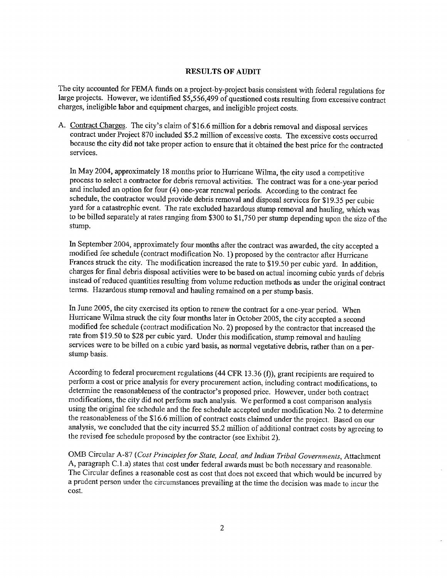#### RESULTS OF AUDIT

The city accounted for FEMA fuds on a project-by-project basis consistent with federal regulations for large projects. However, we identified \$5,556,499 of questioned costs resulting from excessive contract charges, ineligible labor and equipment charges, and ineligible project costs.

A. Contract Charges. The city's claim of \$16.6 million for a debris removal and disposal services contract under Project 870 included \$5.2 million of excessive costs. The excessive costs occurred because the city did not take proper action to ensure that it obtained the best price for the contracted services.

In May 2004, approximately 18 months prior to Hurricane Wilma, the city used a competitive process to select a contractor for debris removal activities. The contract was for a one-year period and included an option for four (4) one-year renewal periods. According to the contract fee schedule, the contractor would provide debris removal and disposal services for \$19.35 per cubic yard for a catastrophic event. The rate excluded hazardous stump removal and hauling, which was to be billed separately at rates ranging from \$300 to \$1,750 per stump depending upon the size of the stump.

In September 2004, approximately four months after the contract was awarded, the city accepted a modified fee schedule (contract modification No. 1) proposed by the contractor after Hurricane Frances struck the city. The modification increased the rate to \$19.50 per cubic yard. In addition, charges for final debris disposal activities were to be based on actual incoming cubic yards of debris instead ofreduced quantities resulting from volume reduction methods as under the original contract terms. Hazardous stump removal and hauling remained on a per stump basis.

In June 2005, the city exercised its option to renew the contract for a one-year period. When Hurricane Wilma struck the city four months later in October 2005, the city accepted a second modified fee schedule (contract modification No.2) proposed by the contractor that increased the rate from \$19.50 to \$28 per cubic yard. Under this modification, stump removal and hauling services were to be billed on a cubic yard basis, as normal vegetative debris, rather than on a perstump basis.

According to federal procurement regulations (44 CFR 13.36 (f)), grant recipients are required to perform a cost or price analysis for every procurement action, including contract modifications, to determine the reasonableness of the contractor's proposed price. However, under both contract modifications, the city did not perform such analysis. We performed a cost comparison analysis using the original fee schedule and the fee schedule accepted under modification No.2 to determine the reasonableness of the \$16.6 million of contract costs claimed under the project. Based on our analysis, we concluded that the city incured \$5.2 milion of additional contract costs by agreeing to the revised fee schedule proposed by the contractor (see Exhibit 2).

OMB Circular A-87 (Cost Principles for State, Local, and Indian Tribal Governments, Attachment A, paragraph C.l .a) states that cost under federal awards must be both necessary and reasonable. The Circular defines a reasonable cost as cost that does not exceed that which would be incurred by a prudent person under the circumstances prevailing at the time the decision was made to incur the cost.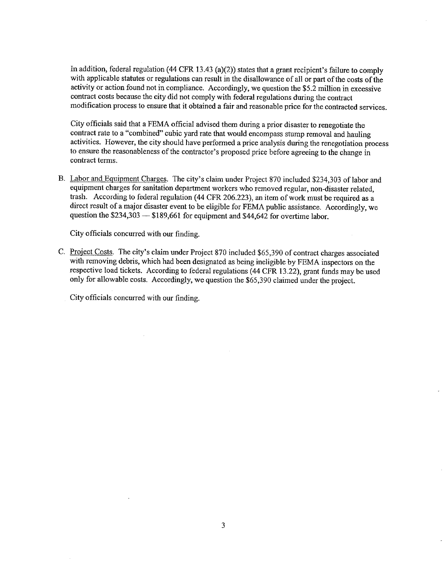In addition, federal regulation (44 CFR 13.43 (a)(2)) states that a grant recipient's failure to comply with applicable statutes or regulations can result in the disallowance of all or part of the costs of the activity or action found not in compliance. Accordingly, we question the \$5.2 milion in excessive contract costs because the city did not comply with federal regulations during the contract modification process to ensure that it obtained a fair and reasonable price for the contracted services.

City officials said that a FEMA official advised them during a prior disaster to renegotiate the contract rate to a "combined" cubic yard rate that would encompass stump removal and hauling activities. However, the city should have performed a price analysis during the renegotiation process to ensure the reasonableness of the contractor's proposed price before agreeing to the change in contract terms.

B. Labor and Equipment Charges. The city's claim under Project 870 included \$234,303 of labor and equipment charges for sanitation department workers who removed regular, non-disaster related, trash. According to federal regulation (44 CFR 206.223), an item of work must be required as a direct result of a major disaster event to be eligible for FEMA public assistance. Accordingly, we question the  $$234,303 - $189,661$  for equipment and  $$44,642$  for overtime labor.

City officials concurred with our finding.

C. Project Costs. The city's claim under Project 870 included \$65,390 of contract charges associated with removing debris, which had been designated as being ineligible by FEMA inspectors on the respective load tickets. According to federal regulations (44 CFR 13.22), grant funds may be used only for allowable costs. Accordingly, we question the \$65,390 claimed under the project.

City officials concurred with our finding.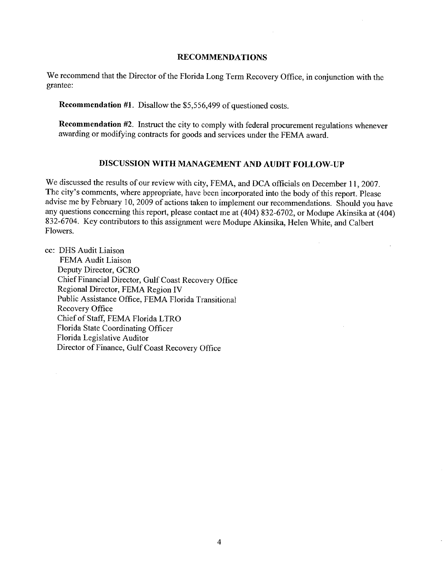### RECOMMENDATIONS

We recommend that the Director of the Florida Long Term Recovery Office, in conjunction with the grantee:

Recommendation #1. Disallow the \$5,556,499 of questioned costs.

Recommendation #2. Instruct the city to comply with federal procurement regulations whenever awarding or modifying contracts for goods and services under the FEMA award.

# DISCUSSION WITH MANAGEMENT AND AUDIT FOLLOW-UP

We discussed the results of our review with city, FEMA, and DCA officials on December 11, 2007. The city's comments, where appropriate, have been incorporated into the body of this report. Please advise me by February iO, 2009 of actions taken to implement our recommendations. Should you have any questions concerning this report, please contact me at (404) 832-6702, or Modupe Akinsika at (404) 832-6704. Key contributors to this assignment were Modupe Akinsika, Helen White, and Calbert Flowers.

cc: DHS Audit Liaison

FEMA Audit Liaison Deputy Director, GCRO Chief Financial Director, Gulf Coast Recovery Office Regional Director, FEMA Region iv Public Assistance Office, FEMA Florida Transitional Recovery Office Chief of Staff, FEMA Florida LTRO Florida State Coordinating Officer Florida Legislative Auditor Director of Finance, Gulf Coast Recovery Office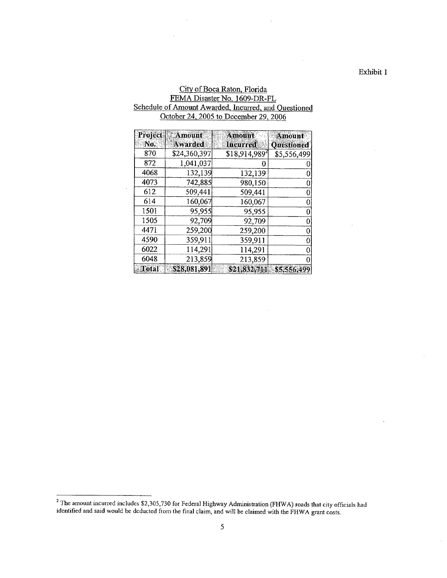Exhibit 1

## City of Boca Raton, Florida FEMA Disaster No. 1609-DR-FL Schedule of Amount Awarded, Incurred, and Questioned October 24, 2005 to December 29, 2006

| Project | <b>Amount</b>  | Amount                     | Amount            |  |  |
|---------|----------------|----------------------------|-------------------|--|--|
| No.     | <b>Awarded</b> | <b>Incurred</b>            | <b>Questioned</b> |  |  |
| 870     | \$24,360,397   | $$18,914,989$ <sup>2</sup> | \$5,556,499       |  |  |
| 872     | 1,041,037      |                            |                   |  |  |
| 4068    | 132,139        | 132,139                    |                   |  |  |
| 4073    | 742,885        | 980,150                    |                   |  |  |
| 612     | 509,441        | 509,441                    |                   |  |  |
| 614     | 160,067        | 160,067                    |                   |  |  |
| 1501    | 95,955         | 95,955                     |                   |  |  |
| 1505    | 92,709         | 92,709                     |                   |  |  |
| 4471    | 259,200        | 259,200                    |                   |  |  |
| 4590    | 359,911        | 359,911                    |                   |  |  |
| 6022    | 114,291        | 114,291                    |                   |  |  |
| 6048    | 213,859        | 213,859                    |                   |  |  |
| Total   | \$28,081,891   | \$21,832,711               | \$5,556,499       |  |  |

 $^2$  The amount incurred includes \$2,305,730 for Federal Highway Administration (FHWA) roads that city officials had identified and said would be deducted from the final claim, and will be claimed with the FHWA grant cost